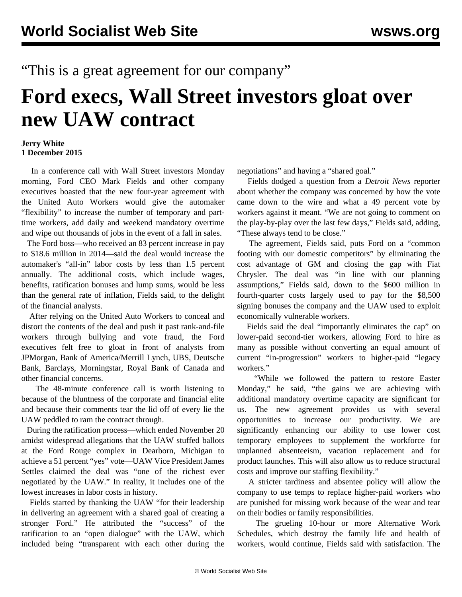## "This is a great agreement for our company"

## **Ford execs, Wall Street investors gloat over new UAW contract**

## **Jerry White 1 December 2015**

 In a conference call with Wall Street investors Monday morning, Ford CEO Mark Fields and other company executives boasted that the new four-year agreement with the United Auto Workers would give the automaker "flexibility" to increase the number of temporary and parttime workers, add daily and weekend mandatory overtime and wipe out thousands of jobs in the event of a fall in sales.

 The Ford boss—who received an 83 percent increase in pay to \$18.6 million in 2014—said the deal would increase the automaker's "all-in" labor costs by less than 1.5 percent annually. The additional costs, which include wages, benefits, ratification bonuses and lump sums, would be less than the general rate of inflation, Fields said, to the delight of the financial analysts.

 After relying on the United Auto Workers to conceal and distort the contents of the deal and push it past rank-and-file workers through bullying and vote fraud, the Ford executives felt free to gloat in front of analysts from JPMorgan, Bank of America/Merrill Lynch, UBS, Deutsche Bank, Barclays, Morningstar, Royal Bank of Canada and other financial concerns.

 The [48-minute conference call](http://edge.media-server.com/m/p/zqkc7rgj/lan/en) is worth listening to because of the bluntness of the corporate and financial elite and because their comments tear the lid off of every lie the UAW peddled to ram the contract through.

 During the ratification process—which ended November 20 amidst widespread allegations that the UAW stuffed ballots at the Ford Rouge complex in Dearborn, Michigan to achieve a 51 percent "yes" vote—UAW Vice President James Settles claimed the deal was "one of the richest ever negotiated by the UAW." In reality, it includes one of the lowest increases in labor costs in history.

 Fields started by thanking the UAW "for their leadership in delivering an agreement with a shared goal of creating a stronger Ford." He attributed the "success" of the ratification to an "open dialogue" with the UAW, which included being "transparent with each other during the

negotiations" and having a "shared goal."

 Fields dodged a question from a *Detroit News* reporter about whether the company was concerned by how the vote came down to the wire and what a 49 percent vote by workers against it meant. "We are not going to comment on the play-by-play over the last few days," Fields said, adding, "These always tend to be close."

 The agreement, Fields said, puts Ford on a "common footing with our domestic competitors" by eliminating the cost advantage of GM and closing the gap with Fiat Chrysler. The deal was "in line with our planning assumptions," Fields said, down to the \$600 million in fourth-quarter costs largely used to pay for the \$8,500 signing bonuses the company and the UAW used to exploit economically vulnerable workers.

 Fields said the deal "importantly eliminates the cap" on lower-paid second-tier workers, allowing Ford to hire as many as possible without converting an equal amount of current "in-progression" workers to higher-paid "legacy workers."

 "While we followed the pattern to restore Easter Monday," he said, "the gains we are achieving with additional mandatory overtime capacity are significant for us. The new agreement provides us with several opportunities to increase our productivity. We are significantly enhancing our ability to use lower cost temporary employees to supplement the workforce for unplanned absenteeism, vacation replacement and for product launches. This will also allow us to reduce structural costs and improve our staffing flexibility."

 A stricter tardiness and absentee policy will allow the company to use temps to replace higher-paid workers who are punished for missing work because of the wear and tear on their bodies or family responsibilities.

 The grueling 10-hour or more Alternative Work Schedules, which destroy the family life and health of workers, would continue, Fields said with satisfaction. The